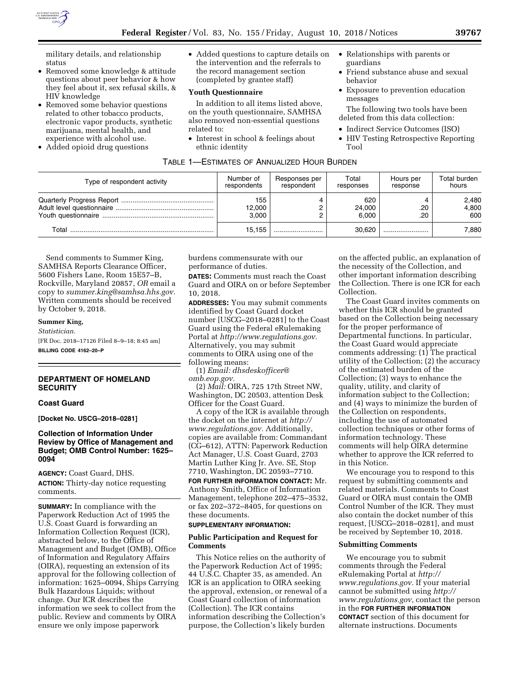

military details, and relationship status

- Removed some knowledge & attitude questions about peer behavior & how they feel about it, sex refusal skills, & HIV knowledge
- Removed some behavior questions related to other tobacco products, electronic vapor products, synthetic marijuana, mental health, and experience with alcohol use.
- Added opioid drug questions

• Added questions to capture details on the intervention and the referrals to the record management section (completed by grantee staff)

#### **Youth Questionnaire**

In addition to all items listed above, on the youth questionnaire, SAMHSA also removed non-essential questions related to:

• Interest in school & feelings about ethnic identity

- Relationships with parents or guardians
- Friend substance abuse and sexual behavior
- Exposure to prevention education messages

The following two tools have been deleted from this data collection:

- Indirect Service Outcomes (ISO)
- HIV Testing Retrospective Reporting Tool

| Type of respondent activity | Number of<br>respondents | Responses per<br>respondent | Total<br>responses     | Hours per<br>response | Total burden<br>hours |
|-----------------------------|--------------------------|-----------------------------|------------------------|-----------------------|-----------------------|
|                             | 155<br>12,000<br>3.000   |                             | 620<br>24,000<br>6.000 | .20<br>.20            | 2,480<br>4,800<br>600 |
| Total                       | 15.155                   |                             | 30.620                 |                       | 7.880                 |

TABLE 1—ESTIMATES OF ANNUALIZED HOUR BURDEN

Send comments to Summer King, SAMHSA Reports Clearance Officer, 5600 Fishers Lane, Room 15E57–B, Rockville, Maryland 20857, *OR* email a copy to *[summer.king@samhsa.hhs.gov.](mailto:summer.king@samhsa.hhs.gov)*  Written comments should be received by October 9, 2018.

**Summer King,**  *Statistician.*  [FR Doc. 2018–17126 Filed 8–9–18; 8:45 am] **BILLING CODE 4162–20–P** 

# **DEPARTMENT OF HOMELAND SECURITY**

### **Coast Guard**

**[Docket No. USCG–2018–0281]** 

# **Collection of Information Under Review by Office of Management and Budget; OMB Control Number: 1625– 0094**

**AGENCY:** Coast Guard, DHS.

**ACTION:** Thirty-day notice requesting comments.

**SUMMARY:** In compliance with the Paperwork Reduction Act of 1995 the U.S. Coast Guard is forwarding an Information Collection Request (ICR), abstracted below, to the Office of Management and Budget (OMB), Office of Information and Regulatory Affairs (OIRA), requesting an extension of its approval for the following collection of information: 1625–0094, Ships Carrying Bulk Hazardous Liquids; without change. Our ICR describes the information we seek to collect from the public. Review and comments by OIRA ensure we only impose paperwork

burdens commensurate with our performance of duties.

**DATES:** Comments must reach the Coast Guard and OIRA on or before September 10, 2018.

**ADDRESSES:** You may submit comments identified by Coast Guard docket number [USCG–2018–0281] to the Coast Guard using the Federal eRulemaking Portal at *[http://www.regulations.gov.](http://www.regulations.gov)*  Alternatively, you may submit comments to OIRA using one of the following means:

(1) *Email: [dhsdeskofficer@](mailto:dhsdeskofficer@omb.eop.gov) [omb.eop.gov.](mailto:dhsdeskofficer@omb.eop.gov)* 

(2) *Mail:* OIRA, 725 17th Street NW, Washington, DC 20503, attention Desk Officer for the Coast Guard.

A copy of the ICR is available through the docket on the internet at *[http://](http://www.regulations.gov) [www.regulations.gov.](http://www.regulations.gov)* Additionally, copies are available from: Commandant (CG–612), ATTN: Paperwork Reduction Act Manager, U.S. Coast Guard, 2703 Martin Luther King Jr. Ave. SE, Stop 7710, Washington, DC 20593–7710.

**FOR FURTHER INFORMATION CONTACT:** Mr. Anthony Smith, Office of Information Management, telephone 202–475–3532, or fax 202–372–8405, for questions on these documents.

# **SUPPLEMENTARY INFORMATION:**

# **Public Participation and Request for Comments**

This Notice relies on the authority of the Paperwork Reduction Act of 1995; 44 U.S.C. Chapter 35, as amended. An ICR is an application to OIRA seeking the approval, extension, or renewal of a Coast Guard collection of information (Collection). The ICR contains information describing the Collection's purpose, the Collection's likely burden

on the affected public, an explanation of the necessity of the Collection, and other important information describing the Collection. There is one ICR for each Collection.

The Coast Guard invites comments on whether this ICR should be granted based on the Collection being necessary for the proper performance of Departmental functions. In particular, the Coast Guard would appreciate comments addressing: (1) The practical utility of the Collection; (2) the accuracy of the estimated burden of the Collection; (3) ways to enhance the quality, utility, and clarity of information subject to the Collection; and (4) ways to minimize the burden of the Collection on respondents, including the use of automated collection techniques or other forms of information technology. These comments will help OIRA determine whether to approve the ICR referred to in this Notice.

We encourage you to respond to this request by submitting comments and related materials. Comments to Coast Guard or OIRA must contain the OMB Control Number of the ICR. They must also contain the docket number of this request, [USCG–2018–0281], and must be received by September 10, 2018.

### **Submitting Comments**

We encourage you to submit comments through the Federal eRulemaking Portal at *[http://](http://www.regulations.gov) [www.regulations.gov.](http://www.regulations.gov)* If your material cannot be submitted using *[http://](http://www.regulations.gov) [www.regulations.gov,](http://www.regulations.gov)* contact the person in the **FOR FURTHER INFORMATION CONTACT** section of this document for alternate instructions. Documents